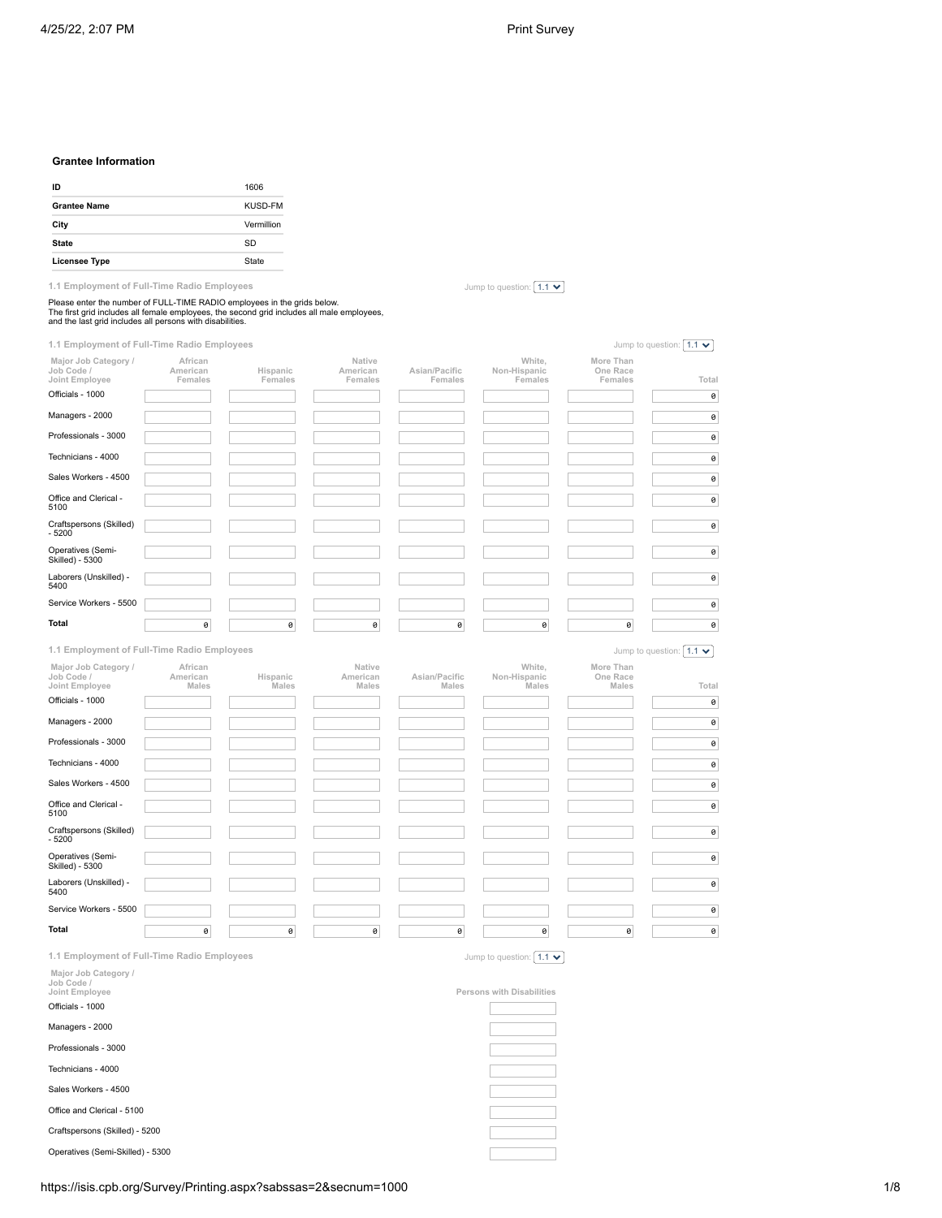Jump to question:  $\boxed{1.1 \blacktriangleright}$ 

### **Grantee Information**

| ID                   | 1606       |
|----------------------|------------|
| <b>Grantee Name</b>  | KUSD-FM    |
| City                 | Vermillion |
| <b>State</b>         | SD         |
| <b>Licensee Type</b> | State      |

**1.1 Employment of Full-Time Radio Employees**

Please enter the number of FULL-TIME RADIO employees in the grids below.<br>The first grid includes all female employees, the second grid includes all male employees,<br>and the last grid includes all persons with disabilities.

| 1.1 Employment of Full-Time Radio Employees          |                                |                     |                               |                          |                                   |                                  | Jump to question: $1.1 \cdot$  |
|------------------------------------------------------|--------------------------------|---------------------|-------------------------------|--------------------------|-----------------------------------|----------------------------------|--------------------------------|
| Major Job Category /<br>Job Code /<br>Joint Employee | African<br>American<br>Females | Hispanic<br>Females | Native<br>American<br>Females | Asian/Pacific<br>Females | White,<br>Non-Hispanic<br>Females | More Than<br>One Race<br>Females | Total                          |
| Officials - 1000                                     |                                |                     |                               |                          |                                   |                                  | 0                              |
| Managers - 2000                                      |                                |                     |                               |                          |                                   |                                  | $\pmb{\Theta}$                 |
| Professionals - 3000                                 |                                |                     |                               |                          |                                   |                                  | 0                              |
| Technicians - 4000                                   |                                |                     |                               |                          |                                   |                                  | 0                              |
| Sales Workers - 4500                                 |                                |                     |                               |                          |                                   |                                  | $\pmb{\Theta}$                 |
| Office and Clerical -<br>5100                        |                                |                     |                               |                          |                                   |                                  | 0                              |
| Craftspersons (Skilled)<br>$-5200$                   |                                |                     |                               |                          |                                   |                                  | 0                              |
| Operatives (Semi-<br>Skilled) - 5300                 |                                |                     |                               |                          |                                   |                                  | 0                              |
| Laborers (Unskilled) -<br>5400                       |                                |                     |                               |                          |                                   |                                  | $\pmb{\Theta}$                 |
| Service Workers - 5500                               |                                |                     |                               |                          |                                   |                                  | $\pmb{\Theta}$                 |
| Total                                                | 0                              | 0                   | $\theta$                      | 0                        | 0                                 | 0                                | 0                              |
| 1.1 Employment of Full-Time Radio Employees          |                                |                     |                               |                          |                                   |                                  | Jump to question: $1.1 \times$ |
| Major Job Category /<br>Job Code /<br>Joint Employee | African<br>American<br>Males   | Hispanic<br>Males   | Native<br>American<br>Males   | Asian/Pacific<br>Males   | White,<br>Non-Hispanic<br>Males   | More Than<br>One Race<br>Males   | Total                          |
| Officials - 1000                                     |                                |                     |                               |                          |                                   |                                  | $\pmb{\Theta}$                 |
| Managers - 2000                                      |                                |                     |                               |                          |                                   |                                  | 0                              |
| Professionals - 3000                                 |                                |                     |                               |                          |                                   |                                  | $\pmb{\Theta}$                 |
| Technicians - 4000                                   |                                |                     |                               |                          |                                   |                                  | $\pmb{\Theta}$                 |
| Sales Workers - 4500                                 |                                |                     |                               |                          |                                   |                                  | $\pmb{\Theta}$                 |
| Office and Clerical -                                |                                |                     |                               |                          |                                   |                                  | $\pmb{\Theta}$                 |
| 5100                                                 |                                |                     |                               |                          |                                   |                                  |                                |
| Craftspersons (Skilled)<br>$-5200$                   |                                |                     |                               |                          |                                   |                                  | 0                              |
| Operatives (Semi-<br>Skilled) - 5300                 |                                |                     |                               |                          |                                   |                                  | 0                              |
| Laborers (Unskilled) -<br>5400                       |                                |                     |                               |                          |                                   |                                  | $\pmb{\Theta}$                 |
| Service Workers - 5500                               |                                |                     |                               |                          |                                   |                                  | $\theta$                       |
| <b>Total</b>                                         | 0                              | 0                   | 0                             | 0                        | 0                                 | 0                                | $\pmb{\Theta}$                 |
| 1.1 Employment of Full-Time Radio Employees          |                                |                     |                               |                          | Jump to question: $1.1 \cdot$     |                                  |                                |
| Major Job Category /<br>Job Code /<br>Joint Employee |                                |                     |                               |                          | Persons with Disabilities         |                                  |                                |

Officials - 1000

Managers - 2000

Professionals - 3000

Technicians - 4000

Sales Workers - 4500

Office and Clerical - 5100

Craftspersons (Skilled) - 5200

Operatives (Semi-Skilled) - 5300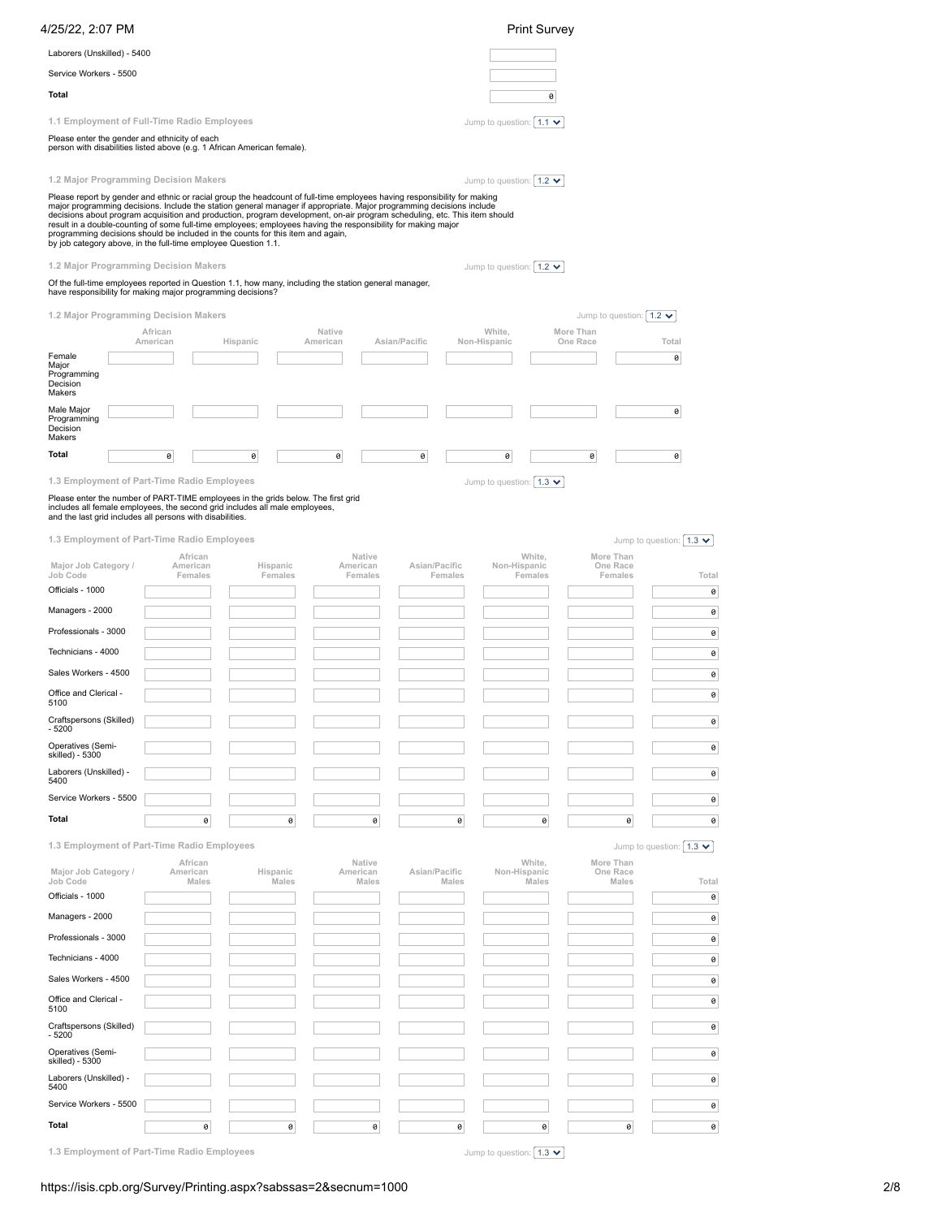| 4/25/22, 2:07 PM                                                                                                                                                                                                                                                                                                                                                                                                                                                                                                                                                                                                                                    |                                |                     |                               |                        |         | <b>Print Survey</b>                                |                                             |                                 |
|-----------------------------------------------------------------------------------------------------------------------------------------------------------------------------------------------------------------------------------------------------------------------------------------------------------------------------------------------------------------------------------------------------------------------------------------------------------------------------------------------------------------------------------------------------------------------------------------------------------------------------------------------------|--------------------------------|---------------------|-------------------------------|------------------------|---------|----------------------------------------------------|---------------------------------------------|---------------------------------|
| Laborers (Unskilled) - 5400                                                                                                                                                                                                                                                                                                                                                                                                                                                                                                                                                                                                                         |                                |                     |                               |                        |         |                                                    |                                             |                                 |
| Service Workers - 5500                                                                                                                                                                                                                                                                                                                                                                                                                                                                                                                                                                                                                              |                                |                     |                               |                        |         |                                                    |                                             |                                 |
| Total                                                                                                                                                                                                                                                                                                                                                                                                                                                                                                                                                                                                                                               |                                |                     |                               |                        |         | 0                                                  |                                             |                                 |
| 1.1 Employment of Full-Time Radio Employees                                                                                                                                                                                                                                                                                                                                                                                                                                                                                                                                                                                                         |                                |                     |                               |                        |         | Jump to question: $1.1 \times$                     |                                             |                                 |
| Please enter the gender and ethnicity of each<br>person with disabilities listed above (e.g. 1 African American female).                                                                                                                                                                                                                                                                                                                                                                                                                                                                                                                            |                                |                     |                               |                        |         |                                                    |                                             |                                 |
| 1.2 Major Programming Decision Makers                                                                                                                                                                                                                                                                                                                                                                                                                                                                                                                                                                                                               |                                |                     |                               |                        |         | Jump to question: $ 1.2 \times$                    |                                             |                                 |
| Please report by gender and ethnic or racial group the headcount of full-time employees having responsibility for making<br>major programming decisions. Include the station general manager if appropriate. Major programming decisions include<br>decisions about program acquisition and production, program development, on-air program scheduling, etc. This item should<br>result in a double-counting of some full-time employees; employees having the responsibility for making major<br>programming decisions should be included in the counts for this item and again,<br>by job category above, in the full-time employee Question 1.1. |                                |                     |                               |                        |         |                                                    |                                             |                                 |
| 1.2 Major Programming Decision Makers<br>Of the full-time employees reported in Question 1.1, how many, including the station general manager,<br>have responsibility for making major programming decisions?                                                                                                                                                                                                                                                                                                                                                                                                                                       |                                |                     |                               |                        |         | Jump to question: $\mid$ 1.2 $\blacktriangleright$ |                                             |                                 |
|                                                                                                                                                                                                                                                                                                                                                                                                                                                                                                                                                                                                                                                     |                                |                     |                               |                        |         |                                                    |                                             |                                 |
| 1.2 Major Programming Decision Makers                                                                                                                                                                                                                                                                                                                                                                                                                                                                                                                                                                                                               | African                        |                     | Native                        |                        |         | White,                                             | Jump to question: $1.2 \times$<br>More Than |                                 |
|                                                                                                                                                                                                                                                                                                                                                                                                                                                                                                                                                                                                                                                     | American                       | Hispanic            | American                      | Asian/Pacific          |         | Non-Hispanic                                       | One Race                                    | Total                           |
| Female<br>Major<br>Programming<br>Decision<br>Makers                                                                                                                                                                                                                                                                                                                                                                                                                                                                                                                                                                                                |                                |                     |                               |                        |         |                                                    |                                             | 0                               |
| Male Major<br>Programming<br>Decision                                                                                                                                                                                                                                                                                                                                                                                                                                                                                                                                                                                                               |                                |                     |                               |                        |         |                                                    |                                             | 0                               |
| Makers<br>Total                                                                                                                                                                                                                                                                                                                                                                                                                                                                                                                                                                                                                                     | 0                              | 0                   | 0                             | 0                      |         | 0                                                  | 0                                           | 0                               |
| 1.3 Employment of Part-Time Radio Employees                                                                                                                                                                                                                                                                                                                                                                                                                                                                                                                                                                                                         |                                |                     |                               |                        |         | Jump to question: $ 1.3 \times$                    |                                             |                                 |
| Please enter the number of PART-TIME employees in the grids below. The first grid<br>includes all female employees, the second grid includes all male employees,<br>and the last grid includes all persons with disabilities.                                                                                                                                                                                                                                                                                                                                                                                                                       |                                |                     |                               |                        |         |                                                    |                                             |                                 |
| 1.3 Employment of Part-Time Radio Employees                                                                                                                                                                                                                                                                                                                                                                                                                                                                                                                                                                                                         |                                |                     |                               |                        |         |                                                    |                                             | Jump to question: $ 1.3 \times$ |
| Major Job Category /<br>Job Code<br>Officials - 1000                                                                                                                                                                                                                                                                                                                                                                                                                                                                                                                                                                                                | African<br>American<br>Females | Hispanic<br>Females | Native<br>American<br>Females | Asian/Pacific          | Females | White,<br>Non-Hispanic<br>Females                  | More Than<br>One Race<br>Females            | Total<br>0                      |
| Managers - 2000                                                                                                                                                                                                                                                                                                                                                                                                                                                                                                                                                                                                                                     |                                |                     |                               |                        |         |                                                    |                                             | 0                               |
| Professionals - 3000                                                                                                                                                                                                                                                                                                                                                                                                                                                                                                                                                                                                                                |                                |                     |                               |                        |         |                                                    |                                             | 0                               |
| Technicians - 4000                                                                                                                                                                                                                                                                                                                                                                                                                                                                                                                                                                                                                                  |                                |                     |                               |                        |         |                                                    |                                             | 0                               |
| Sales Workers - 4500                                                                                                                                                                                                                                                                                                                                                                                                                                                                                                                                                                                                                                |                                |                     |                               |                        |         |                                                    |                                             | 0                               |
| Office and Clerical -<br>5100                                                                                                                                                                                                                                                                                                                                                                                                                                                                                                                                                                                                                       |                                |                     |                               |                        |         |                                                    |                                             | 0                               |
| Craftspersons (Skilled)<br>$-5200$                                                                                                                                                                                                                                                                                                                                                                                                                                                                                                                                                                                                                  |                                |                     |                               |                        |         |                                                    |                                             | $\pmb{\Theta}$                  |
| Operatives (Semi-<br>skilled) - 5300                                                                                                                                                                                                                                                                                                                                                                                                                                                                                                                                                                                                                |                                |                     |                               |                        |         |                                                    |                                             | 0                               |
| Laborers (Unskilled) -<br>5400                                                                                                                                                                                                                                                                                                                                                                                                                                                                                                                                                                                                                      |                                |                     |                               |                        |         |                                                    |                                             | 0                               |
| Service Workers - 5500                                                                                                                                                                                                                                                                                                                                                                                                                                                                                                                                                                                                                              |                                |                     |                               |                        |         |                                                    |                                             | $\theta$                        |
| Total                                                                                                                                                                                                                                                                                                                                                                                                                                                                                                                                                                                                                                               | 0                              | 0                   |                               | 0                      | 0       | 0                                                  | 0                                           | 0                               |
| 1.3 Employment of Part-Time Radio Employees                                                                                                                                                                                                                                                                                                                                                                                                                                                                                                                                                                                                         |                                |                     |                               |                        |         |                                                    |                                             | Jump to question: $1.3 \times$  |
| Major Job Category /<br>Job Code                                                                                                                                                                                                                                                                                                                                                                                                                                                                                                                                                                                                                    | African<br>American<br>Males   | Hispanic<br>Males   | Native<br>American            | Asian/Pacific<br>Males | Males   | White,<br>Non-Hispanic<br>Males                    | More Than<br>One Race<br>Males              | Total                           |
| Officials - 1000                                                                                                                                                                                                                                                                                                                                                                                                                                                                                                                                                                                                                                    |                                |                     |                               |                        |         |                                                    |                                             | 0                               |
| Managers - 2000                                                                                                                                                                                                                                                                                                                                                                                                                                                                                                                                                                                                                                     |                                |                     |                               |                        |         |                                                    |                                             | 0                               |
| Professionals - 3000                                                                                                                                                                                                                                                                                                                                                                                                                                                                                                                                                                                                                                |                                |                     |                               |                        |         |                                                    |                                             | 0                               |
| Technicians - 4000                                                                                                                                                                                                                                                                                                                                                                                                                                                                                                                                                                                                                                  |                                |                     |                               |                        |         |                                                    |                                             | 0                               |
| Sales Workers - 4500                                                                                                                                                                                                                                                                                                                                                                                                                                                                                                                                                                                                                                |                                |                     |                               |                        |         |                                                    |                                             | 0                               |
| Office and Clerical -<br>5100                                                                                                                                                                                                                                                                                                                                                                                                                                                                                                                                                                                                                       |                                |                     |                               |                        |         |                                                    |                                             | 0                               |
| Craftspersons (Skilled)<br>$-5200$                                                                                                                                                                                                                                                                                                                                                                                                                                                                                                                                                                                                                  |                                |                     |                               |                        |         |                                                    |                                             | 0                               |
| Operatives (Semi-<br>skilled) - 5300                                                                                                                                                                                                                                                                                                                                                                                                                                                                                                                                                                                                                |                                |                     |                               |                        |         |                                                    |                                             | $\theta$                        |
| Laborers (Unskilled) -<br>5400                                                                                                                                                                                                                                                                                                                                                                                                                                                                                                                                                                                                                      |                                |                     |                               |                        |         |                                                    |                                             | 0                               |
| Service Workers - 5500                                                                                                                                                                                                                                                                                                                                                                                                                                                                                                                                                                                                                              |                                |                     |                               |                        |         |                                                    |                                             | 0                               |
| Total                                                                                                                                                                                                                                                                                                                                                                                                                                                                                                                                                                                                                                               | 0                              | 0                   |                               | 0                      | 0       | 0                                                  | 0                                           | 0                               |
| 1.3 Employment of Part-Time Radio Employees                                                                                                                                                                                                                                                                                                                                                                                                                                                                                                                                                                                                         |                                |                     |                               |                        |         | Jump to question: $1.3 \times$                     |                                             |                                 |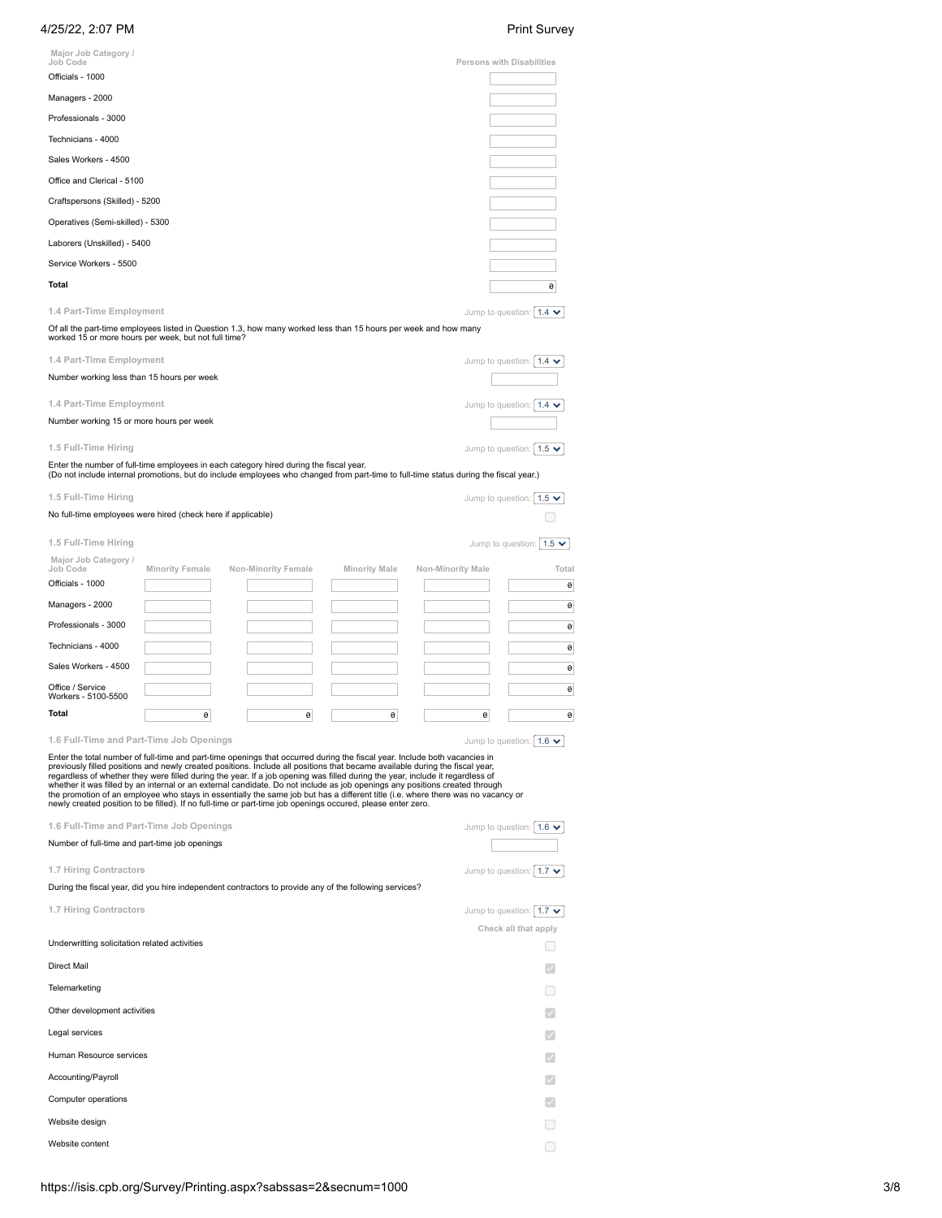| Major Job Category /                                                                                                                                                                                                                                                                                                                                                                                                           |                        |                                                                                                                                                                                                                                                                                                                                                                                                                                                                                                                                                                                                                                                                                                                                                                               |                      |                   |   | <b>Print Survey</b>                               |
|--------------------------------------------------------------------------------------------------------------------------------------------------------------------------------------------------------------------------------------------------------------------------------------------------------------------------------------------------------------------------------------------------------------------------------|------------------------|-------------------------------------------------------------------------------------------------------------------------------------------------------------------------------------------------------------------------------------------------------------------------------------------------------------------------------------------------------------------------------------------------------------------------------------------------------------------------------------------------------------------------------------------------------------------------------------------------------------------------------------------------------------------------------------------------------------------------------------------------------------------------------|----------------------|-------------------|---|---------------------------------------------------|
| Job Code                                                                                                                                                                                                                                                                                                                                                                                                                       |                        |                                                                                                                                                                                                                                                                                                                                                                                                                                                                                                                                                                                                                                                                                                                                                                               |                      |                   |   | Persons with Disabilities                         |
| Officials - 1000                                                                                                                                                                                                                                                                                                                                                                                                               |                        |                                                                                                                                                                                                                                                                                                                                                                                                                                                                                                                                                                                                                                                                                                                                                                               |                      |                   |   |                                                   |
| Managers - 2000                                                                                                                                                                                                                                                                                                                                                                                                                |                        |                                                                                                                                                                                                                                                                                                                                                                                                                                                                                                                                                                                                                                                                                                                                                                               |                      |                   |   |                                                   |
| Professionals - 3000                                                                                                                                                                                                                                                                                                                                                                                                           |                        |                                                                                                                                                                                                                                                                                                                                                                                                                                                                                                                                                                                                                                                                                                                                                                               |                      |                   |   |                                                   |
| Technicians - 4000                                                                                                                                                                                                                                                                                                                                                                                                             |                        |                                                                                                                                                                                                                                                                                                                                                                                                                                                                                                                                                                                                                                                                                                                                                                               |                      |                   |   |                                                   |
| Sales Workers - 4500                                                                                                                                                                                                                                                                                                                                                                                                           |                        |                                                                                                                                                                                                                                                                                                                                                                                                                                                                                                                                                                                                                                                                                                                                                                               |                      |                   |   |                                                   |
| Office and Clerical - 5100                                                                                                                                                                                                                                                                                                                                                                                                     |                        |                                                                                                                                                                                                                                                                                                                                                                                                                                                                                                                                                                                                                                                                                                                                                                               |                      |                   |   |                                                   |
| Craftspersons (Skilled) - 5200                                                                                                                                                                                                                                                                                                                                                                                                 |                        |                                                                                                                                                                                                                                                                                                                                                                                                                                                                                                                                                                                                                                                                                                                                                                               |                      |                   |   |                                                   |
| Operatives (Semi-skilled) - 5300                                                                                                                                                                                                                                                                                                                                                                                               |                        |                                                                                                                                                                                                                                                                                                                                                                                                                                                                                                                                                                                                                                                                                                                                                                               |                      |                   |   |                                                   |
| Laborers (Unskilled) - 5400                                                                                                                                                                                                                                                                                                                                                                                                    |                        |                                                                                                                                                                                                                                                                                                                                                                                                                                                                                                                                                                                                                                                                                                                                                                               |                      |                   |   |                                                   |
| Service Workers - 5500                                                                                                                                                                                                                                                                                                                                                                                                         |                        |                                                                                                                                                                                                                                                                                                                                                                                                                                                                                                                                                                                                                                                                                                                                                                               |                      |                   |   |                                                   |
| <b>Total</b>                                                                                                                                                                                                                                                                                                                                                                                                                   |                        |                                                                                                                                                                                                                                                                                                                                                                                                                                                                                                                                                                                                                                                                                                                                                                               |                      |                   |   |                                                   |
|                                                                                                                                                                                                                                                                                                                                                                                                                                |                        |                                                                                                                                                                                                                                                                                                                                                                                                                                                                                                                                                                                                                                                                                                                                                                               |                      |                   |   | 0                                                 |
| 1.4 Part-Time Employment                                                                                                                                                                                                                                                                                                                                                                                                       |                        |                                                                                                                                                                                                                                                                                                                                                                                                                                                                                                                                                                                                                                                                                                                                                                               |                      |                   |   | Jump to question: $1.4 \times$                    |
| worked 15 or more hours per week, but not full time?                                                                                                                                                                                                                                                                                                                                                                           |                        | Of all the part-time employees listed in Question 1.3, how many worked less than 15 hours per week and how many                                                                                                                                                                                                                                                                                                                                                                                                                                                                                                                                                                                                                                                               |                      |                   |   |                                                   |
| 1.4 Part-Time Employment                                                                                                                                                                                                                                                                                                                                                                                                       |                        |                                                                                                                                                                                                                                                                                                                                                                                                                                                                                                                                                                                                                                                                                                                                                                               |                      |                   |   | Jump to question: $1.4 \times$                    |
| Number working less than 15 hours per week                                                                                                                                                                                                                                                                                                                                                                                     |                        |                                                                                                                                                                                                                                                                                                                                                                                                                                                                                                                                                                                                                                                                                                                                                                               |                      |                   |   |                                                   |
| 1.4 Part-Time Employment                                                                                                                                                                                                                                                                                                                                                                                                       |                        |                                                                                                                                                                                                                                                                                                                                                                                                                                                                                                                                                                                                                                                                                                                                                                               |                      |                   |   | Jump to question: $1.4 \times$                    |
| Number working 15 or more hours per week                                                                                                                                                                                                                                                                                                                                                                                       |                        |                                                                                                                                                                                                                                                                                                                                                                                                                                                                                                                                                                                                                                                                                                                                                                               |                      |                   |   |                                                   |
|                                                                                                                                                                                                                                                                                                                                                                                                                                |                        |                                                                                                                                                                                                                                                                                                                                                                                                                                                                                                                                                                                                                                                                                                                                                                               |                      |                   |   |                                                   |
| 1.5 Full-Time Hiring                                                                                                                                                                                                                                                                                                                                                                                                           |                        |                                                                                                                                                                                                                                                                                                                                                                                                                                                                                                                                                                                                                                                                                                                                                                               |                      |                   |   | Jump to question: $1.5 \times$                    |
|                                                                                                                                                                                                                                                                                                                                                                                                                                |                        | Enter the number of full-time employees in each category hired during the fiscal year.<br>(Do not include internal promotions, but do include employees who changed from part-time to full-time status during the fiscal year.)                                                                                                                                                                                                                                                                                                                                                                                                                                                                                                                                               |                      |                   |   |                                                   |
| 1.5 Full-Time Hiring                                                                                                                                                                                                                                                                                                                                                                                                           |                        |                                                                                                                                                                                                                                                                                                                                                                                                                                                                                                                                                                                                                                                                                                                                                                               |                      |                   |   | Jump to question: $ 1.5 \rangle$                  |
| No full-time employees were hired (check here if applicable)                                                                                                                                                                                                                                                                                                                                                                   |                        |                                                                                                                                                                                                                                                                                                                                                                                                                                                                                                                                                                                                                                                                                                                                                                               |                      |                   |   |                                                   |
| 1.5 Full-Time Hiring                                                                                                                                                                                                                                                                                                                                                                                                           |                        |                                                                                                                                                                                                                                                                                                                                                                                                                                                                                                                                                                                                                                                                                                                                                                               |                      |                   |   | Jump to question: $1.5 \times$                    |
| Major Job Category /                                                                                                                                                                                                                                                                                                                                                                                                           |                        |                                                                                                                                                                                                                                                                                                                                                                                                                                                                                                                                                                                                                                                                                                                                                                               |                      |                   |   |                                                   |
| Job Code<br>Officials - 1000                                                                                                                                                                                                                                                                                                                                                                                                   | <b>Minority Female</b> | Non-Minority Female                                                                                                                                                                                                                                                                                                                                                                                                                                                                                                                                                                                                                                                                                                                                                           | <b>Minority Male</b> | Non-Minority Male |   | Total                                             |
| Managers - 2000                                                                                                                                                                                                                                                                                                                                                                                                                |                        |                                                                                                                                                                                                                                                                                                                                                                                                                                                                                                                                                                                                                                                                                                                                                                               |                      |                   |   | 0                                                 |
| Professionals - 3000                                                                                                                                                                                                                                                                                                                                                                                                           |                        |                                                                                                                                                                                                                                                                                                                                                                                                                                                                                                                                                                                                                                                                                                                                                                               |                      |                   |   | 0                                                 |
|                                                                                                                                                                                                                                                                                                                                                                                                                                |                        |                                                                                                                                                                                                                                                                                                                                                                                                                                                                                                                                                                                                                                                                                                                                                                               |                      |                   |   | 0                                                 |
| Technicians - 4000                                                                                                                                                                                                                                                                                                                                                                                                             |                        |                                                                                                                                                                                                                                                                                                                                                                                                                                                                                                                                                                                                                                                                                                                                                                               |                      |                   |   | 0                                                 |
| Sales Workers - 4500                                                                                                                                                                                                                                                                                                                                                                                                           |                        |                                                                                                                                                                                                                                                                                                                                                                                                                                                                                                                                                                                                                                                                                                                                                                               |                      |                   |   | 0                                                 |
| Office / Service<br>Workers - 5100-5500                                                                                                                                                                                                                                                                                                                                                                                        |                        |                                                                                                                                                                                                                                                                                                                                                                                                                                                                                                                                                                                                                                                                                                                                                                               |                      |                   |   | 0                                                 |
| Total                                                                                                                                                                                                                                                                                                                                                                                                                          | 0                      | 0                                                                                                                                                                                                                                                                                                                                                                                                                                                                                                                                                                                                                                                                                                                                                                             | 0                    |                   | 0 | 0                                                 |
|                                                                                                                                                                                                                                                                                                                                                                                                                                |                        |                                                                                                                                                                                                                                                                                                                                                                                                                                                                                                                                                                                                                                                                                                                                                                               |                      |                   |   |                                                   |
|                                                                                                                                                                                                                                                                                                                                                                                                                                |                        | Enter the total number of full-time and part-time openings that occurred during the fiscal year. Include both vacancies in<br>previously filled positions and newly created positions. Include all positions that became available during the fiscal year,<br>regardless of whether they were filled during the year. If a job opening was filled during the year, include it regardless of<br>whether it was filled by an internal or an external candidate. Do not include as job openings any positions created through<br>the promotion of an employee who stays in essentially the same job but has a different title (i.e. where there was no vacancy or<br>newly created position to be filled). If no full-time or part-time job openings occured, please enter zero. |                      |                   |   | Jump to question: $1.6 \times$                    |
|                                                                                                                                                                                                                                                                                                                                                                                                                                |                        |                                                                                                                                                                                                                                                                                                                                                                                                                                                                                                                                                                                                                                                                                                                                                                               |                      |                   |   | Jump to question: $1.6 \times$                    |
|                                                                                                                                                                                                                                                                                                                                                                                                                                |                        |                                                                                                                                                                                                                                                                                                                                                                                                                                                                                                                                                                                                                                                                                                                                                                               |                      |                   |   |                                                   |
|                                                                                                                                                                                                                                                                                                                                                                                                                                |                        |                                                                                                                                                                                                                                                                                                                                                                                                                                                                                                                                                                                                                                                                                                                                                                               |                      |                   |   | Jump to question: $\vert 1.7 \blacktriangleright$ |
|                                                                                                                                                                                                                                                                                                                                                                                                                                |                        | During the fiscal year, did you hire independent contractors to provide any of the following services?                                                                                                                                                                                                                                                                                                                                                                                                                                                                                                                                                                                                                                                                        |                      |                   |   |                                                   |
|                                                                                                                                                                                                                                                                                                                                                                                                                                |                        |                                                                                                                                                                                                                                                                                                                                                                                                                                                                                                                                                                                                                                                                                                                                                                               |                      |                   |   | Jump to question: $1.7 \times$                    |
|                                                                                                                                                                                                                                                                                                                                                                                                                                |                        |                                                                                                                                                                                                                                                                                                                                                                                                                                                                                                                                                                                                                                                                                                                                                                               |                      |                   |   | Check all that apply                              |
|                                                                                                                                                                                                                                                                                                                                                                                                                                |                        |                                                                                                                                                                                                                                                                                                                                                                                                                                                                                                                                                                                                                                                                                                                                                                               |                      |                   |   |                                                   |
|                                                                                                                                                                                                                                                                                                                                                                                                                                |                        |                                                                                                                                                                                                                                                                                                                                                                                                                                                                                                                                                                                                                                                                                                                                                                               |                      |                   |   |                                                   |
|                                                                                                                                                                                                                                                                                                                                                                                                                                |                        |                                                                                                                                                                                                                                                                                                                                                                                                                                                                                                                                                                                                                                                                                                                                                                               |                      |                   |   | □                                                 |
|                                                                                                                                                                                                                                                                                                                                                                                                                                |                        |                                                                                                                                                                                                                                                                                                                                                                                                                                                                                                                                                                                                                                                                                                                                                                               |                      |                   |   | $\checkmark$                                      |
|                                                                                                                                                                                                                                                                                                                                                                                                                                |                        |                                                                                                                                                                                                                                                                                                                                                                                                                                                                                                                                                                                                                                                                                                                                                                               |                      |                   |   |                                                   |
|                                                                                                                                                                                                                                                                                                                                                                                                                                |                        |                                                                                                                                                                                                                                                                                                                                                                                                                                                                                                                                                                                                                                                                                                                                                                               |                      |                   |   | $\checkmark$                                      |
|                                                                                                                                                                                                                                                                                                                                                                                                                                |                        |                                                                                                                                                                                                                                                                                                                                                                                                                                                                                                                                                                                                                                                                                                                                                                               |                      |                   |   |                                                   |
|                                                                                                                                                                                                                                                                                                                                                                                                                                |                        |                                                                                                                                                                                                                                                                                                                                                                                                                                                                                                                                                                                                                                                                                                                                                                               |                      |                   |   |                                                   |
| 1.6 Full-Time and Part-Time Job Openings<br>1.6 Full-Time and Part-Time Job Openings<br>Number of full-time and part-time job openings<br>1.7 Hiring Contractors<br>1.7 Hiring Contractors<br>Underwritting solicitation related activities<br><b>Direct Mail</b><br>Telemarketing<br>Other development activities<br>Legal services<br>Human Resource services<br>Accounting/Payroll<br>Computer operations<br>Website design |                        |                                                                                                                                                                                                                                                                                                                                                                                                                                                                                                                                                                                                                                                                                                                                                                               |                      |                   |   |                                                   |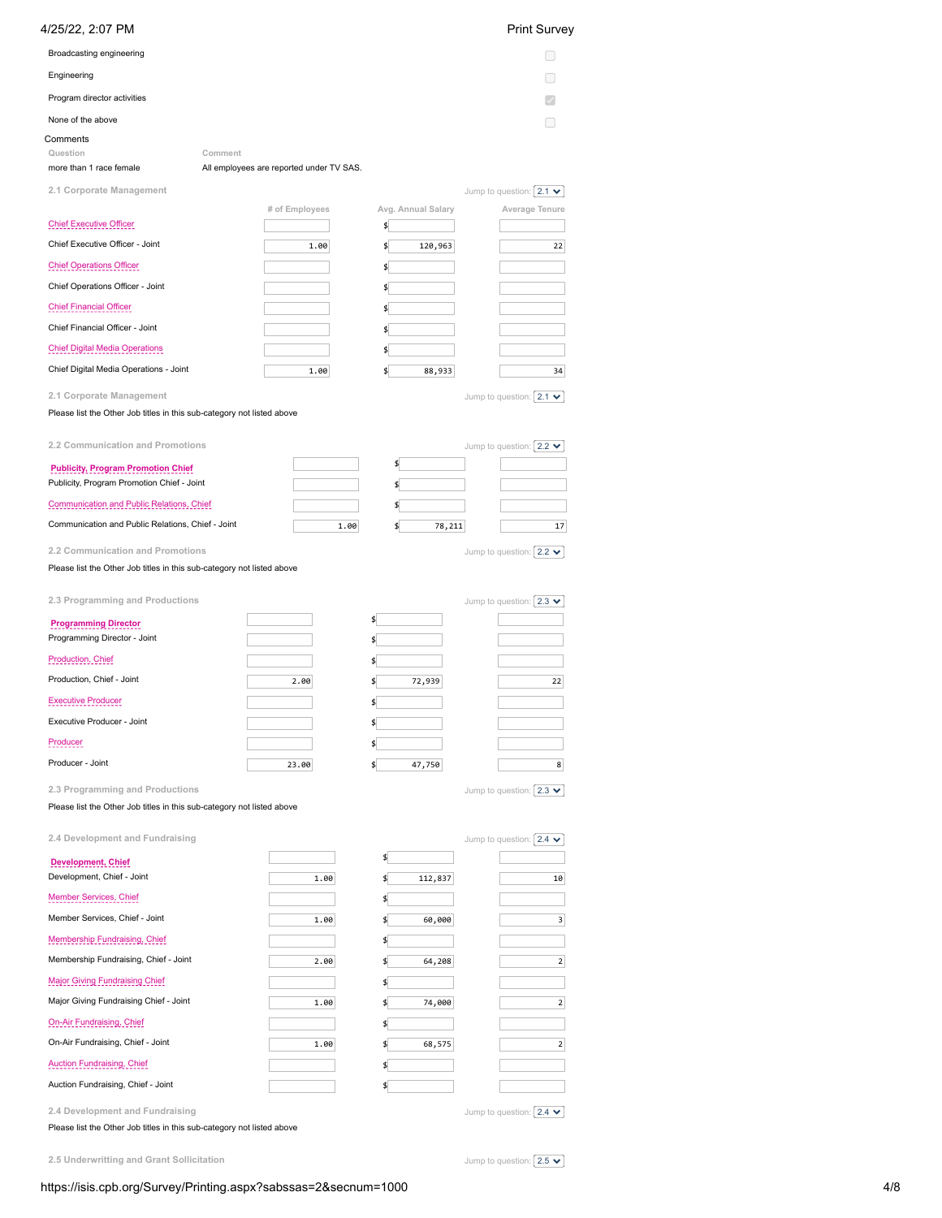| Broadcasting engineering<br>Engineering<br>H<br>Program director activities<br>None of the above<br>Question<br>Comment<br>more than 1 race female<br>All employees are reported under TV SAS.<br>2.1 Corporate Management<br>Jump to question: $2.1 \cdot \cdot$<br># of Employees<br>Avg. Annual Salary<br>Average Tenure<br><b>Chief Executive Officer</b><br>\$<br>Chief Executive Officer - Joint<br>1.00<br>120,963<br>22<br>\$<br><b>Chief Operations Officer</b><br>\$<br>Chief Operations Officer - Joint<br>\$<br><b>Chief Financial Officer</b><br>\$<br>Chief Financial Officer - Joint<br>\$<br><b>Chief Digital Media Operations</b><br>\$<br>Chief Digital Media Operations - Joint<br>1.00<br>88,933<br>34<br>\$<br>2.1 Corporate Management<br>Jump to question: $ 2.1 \times$<br>Please list the Other Job titles in this sub-category not listed above<br>2.2 Communication and Promotions<br>Jump to question: $2.2 \times$<br>\$<br><b>Publicity, Program Promotion Chief</b><br>Publicity, Program Promotion Chief - Joint<br>\$<br>Communication and Public Relations, Chief<br>\$<br>Communication and Public Relations, Chief - Joint<br>1.00<br>78,211<br>17<br>\$<br>2.2 Communication and Promotions<br>Jump to question: $ 2.2 \times $<br>Please list the Other Job titles in this sub-category not listed above<br>2.3 Programming and Productions<br>Jump to question: $2.3 \times$<br>\$<br><b>Programming Director</b><br>Programming Director - Joint<br>\$<br>Production, Chief<br>\$<br>Production, Chief - Joint<br>2.00<br>72,939<br>22<br>\$<br><b>Executive Producer</b><br>\$<br>Executive Producer - Joint<br>\$<br>Producer<br>\$<br>Producer - Joint<br>8<br>23.00<br>\$<br>47,750<br>2.3 Programming and Productions<br>Jump to question: $ 2.3 \times$<br>Please list the Other Job titles in this sub-category not listed above<br>2.4 Development and Fundraising<br>Jump to question: $2.4 \times$<br>\$<br>Development, Chief<br>Development, Chief - Joint<br>1.00<br>\$<br>112,837<br>10<br><b>Member Services, Chief</b><br>\$<br>Member Services, Chief - Joint<br>1.00<br>\$<br>60,000<br>$\overline{\mathbf{3}}$<br>Membership Fundraising, Chief<br>\$<br>Membership Fundraising, Chief - Joint<br>2.00<br>$\overline{2}$<br>\$<br>64,208<br><b>Major Giving Fundraising Chief</b><br>\$<br>Major Giving Fundraising Chief - Joint<br>74,000<br>$\mathbf{2}$<br>1.00<br>\$<br>On-Air Fundraising, Chief<br>\$<br>On-Air Fundraising, Chief - Joint<br>1.00<br>$\overline{2}$<br>\$<br>68,575<br><b>Auction Fundraising, Chief</b><br>\$<br>Auction Fundraising, Chief - Joint<br>\$<br>Jump to question: $2.4 \times$ | 4/25/22, 2:07 PM                |  | <b>Print Survey</b> |
|---------------------------------------------------------------------------------------------------------------------------------------------------------------------------------------------------------------------------------------------------------------------------------------------------------------------------------------------------------------------------------------------------------------------------------------------------------------------------------------------------------------------------------------------------------------------------------------------------------------------------------------------------------------------------------------------------------------------------------------------------------------------------------------------------------------------------------------------------------------------------------------------------------------------------------------------------------------------------------------------------------------------------------------------------------------------------------------------------------------------------------------------------------------------------------------------------------------------------------------------------------------------------------------------------------------------------------------------------------------------------------------------------------------------------------------------------------------------------------------------------------------------------------------------------------------------------------------------------------------------------------------------------------------------------------------------------------------------------------------------------------------------------------------------------------------------------------------------------------------------------------------------------------------------------------------------------------------------------------------------------------------------------------------------------------------------------------------------------------------------------------------------------------------------------------------------------------------------------------------------------------------------------------------------------------------------------------------------------------------------------------------------------------------------------------------------------------------------------------------------------------------------------------------------------------------------------------------------------------------------------------------------------------------------------------|---------------------------------|--|---------------------|
|                                                                                                                                                                                                                                                                                                                                                                                                                                                                                                                                                                                                                                                                                                                                                                                                                                                                                                                                                                                                                                                                                                                                                                                                                                                                                                                                                                                                                                                                                                                                                                                                                                                                                                                                                                                                                                                                                                                                                                                                                                                                                                                                                                                                                                                                                                                                                                                                                                                                                                                                                                                                                                                                                 |                                 |  |                     |
|                                                                                                                                                                                                                                                                                                                                                                                                                                                                                                                                                                                                                                                                                                                                                                                                                                                                                                                                                                                                                                                                                                                                                                                                                                                                                                                                                                                                                                                                                                                                                                                                                                                                                                                                                                                                                                                                                                                                                                                                                                                                                                                                                                                                                                                                                                                                                                                                                                                                                                                                                                                                                                                                                 |                                 |  |                     |
|                                                                                                                                                                                                                                                                                                                                                                                                                                                                                                                                                                                                                                                                                                                                                                                                                                                                                                                                                                                                                                                                                                                                                                                                                                                                                                                                                                                                                                                                                                                                                                                                                                                                                                                                                                                                                                                                                                                                                                                                                                                                                                                                                                                                                                                                                                                                                                                                                                                                                                                                                                                                                                                                                 |                                 |  |                     |
|                                                                                                                                                                                                                                                                                                                                                                                                                                                                                                                                                                                                                                                                                                                                                                                                                                                                                                                                                                                                                                                                                                                                                                                                                                                                                                                                                                                                                                                                                                                                                                                                                                                                                                                                                                                                                                                                                                                                                                                                                                                                                                                                                                                                                                                                                                                                                                                                                                                                                                                                                                                                                                                                                 |                                 |  |                     |
|                                                                                                                                                                                                                                                                                                                                                                                                                                                                                                                                                                                                                                                                                                                                                                                                                                                                                                                                                                                                                                                                                                                                                                                                                                                                                                                                                                                                                                                                                                                                                                                                                                                                                                                                                                                                                                                                                                                                                                                                                                                                                                                                                                                                                                                                                                                                                                                                                                                                                                                                                                                                                                                                                 | Comments                        |  |                     |
|                                                                                                                                                                                                                                                                                                                                                                                                                                                                                                                                                                                                                                                                                                                                                                                                                                                                                                                                                                                                                                                                                                                                                                                                                                                                                                                                                                                                                                                                                                                                                                                                                                                                                                                                                                                                                                                                                                                                                                                                                                                                                                                                                                                                                                                                                                                                                                                                                                                                                                                                                                                                                                                                                 |                                 |  |                     |
|                                                                                                                                                                                                                                                                                                                                                                                                                                                                                                                                                                                                                                                                                                                                                                                                                                                                                                                                                                                                                                                                                                                                                                                                                                                                                                                                                                                                                                                                                                                                                                                                                                                                                                                                                                                                                                                                                                                                                                                                                                                                                                                                                                                                                                                                                                                                                                                                                                                                                                                                                                                                                                                                                 |                                 |  |                     |
|                                                                                                                                                                                                                                                                                                                                                                                                                                                                                                                                                                                                                                                                                                                                                                                                                                                                                                                                                                                                                                                                                                                                                                                                                                                                                                                                                                                                                                                                                                                                                                                                                                                                                                                                                                                                                                                                                                                                                                                                                                                                                                                                                                                                                                                                                                                                                                                                                                                                                                                                                                                                                                                                                 |                                 |  |                     |
|                                                                                                                                                                                                                                                                                                                                                                                                                                                                                                                                                                                                                                                                                                                                                                                                                                                                                                                                                                                                                                                                                                                                                                                                                                                                                                                                                                                                                                                                                                                                                                                                                                                                                                                                                                                                                                                                                                                                                                                                                                                                                                                                                                                                                                                                                                                                                                                                                                                                                                                                                                                                                                                                                 |                                 |  |                     |
|                                                                                                                                                                                                                                                                                                                                                                                                                                                                                                                                                                                                                                                                                                                                                                                                                                                                                                                                                                                                                                                                                                                                                                                                                                                                                                                                                                                                                                                                                                                                                                                                                                                                                                                                                                                                                                                                                                                                                                                                                                                                                                                                                                                                                                                                                                                                                                                                                                                                                                                                                                                                                                                                                 |                                 |  |                     |
|                                                                                                                                                                                                                                                                                                                                                                                                                                                                                                                                                                                                                                                                                                                                                                                                                                                                                                                                                                                                                                                                                                                                                                                                                                                                                                                                                                                                                                                                                                                                                                                                                                                                                                                                                                                                                                                                                                                                                                                                                                                                                                                                                                                                                                                                                                                                                                                                                                                                                                                                                                                                                                                                                 |                                 |  |                     |
|                                                                                                                                                                                                                                                                                                                                                                                                                                                                                                                                                                                                                                                                                                                                                                                                                                                                                                                                                                                                                                                                                                                                                                                                                                                                                                                                                                                                                                                                                                                                                                                                                                                                                                                                                                                                                                                                                                                                                                                                                                                                                                                                                                                                                                                                                                                                                                                                                                                                                                                                                                                                                                                                                 |                                 |  |                     |
|                                                                                                                                                                                                                                                                                                                                                                                                                                                                                                                                                                                                                                                                                                                                                                                                                                                                                                                                                                                                                                                                                                                                                                                                                                                                                                                                                                                                                                                                                                                                                                                                                                                                                                                                                                                                                                                                                                                                                                                                                                                                                                                                                                                                                                                                                                                                                                                                                                                                                                                                                                                                                                                                                 |                                 |  |                     |
|                                                                                                                                                                                                                                                                                                                                                                                                                                                                                                                                                                                                                                                                                                                                                                                                                                                                                                                                                                                                                                                                                                                                                                                                                                                                                                                                                                                                                                                                                                                                                                                                                                                                                                                                                                                                                                                                                                                                                                                                                                                                                                                                                                                                                                                                                                                                                                                                                                                                                                                                                                                                                                                                                 |                                 |  |                     |
|                                                                                                                                                                                                                                                                                                                                                                                                                                                                                                                                                                                                                                                                                                                                                                                                                                                                                                                                                                                                                                                                                                                                                                                                                                                                                                                                                                                                                                                                                                                                                                                                                                                                                                                                                                                                                                                                                                                                                                                                                                                                                                                                                                                                                                                                                                                                                                                                                                                                                                                                                                                                                                                                                 |                                 |  |                     |
|                                                                                                                                                                                                                                                                                                                                                                                                                                                                                                                                                                                                                                                                                                                                                                                                                                                                                                                                                                                                                                                                                                                                                                                                                                                                                                                                                                                                                                                                                                                                                                                                                                                                                                                                                                                                                                                                                                                                                                                                                                                                                                                                                                                                                                                                                                                                                                                                                                                                                                                                                                                                                                                                                 |                                 |  |                     |
|                                                                                                                                                                                                                                                                                                                                                                                                                                                                                                                                                                                                                                                                                                                                                                                                                                                                                                                                                                                                                                                                                                                                                                                                                                                                                                                                                                                                                                                                                                                                                                                                                                                                                                                                                                                                                                                                                                                                                                                                                                                                                                                                                                                                                                                                                                                                                                                                                                                                                                                                                                                                                                                                                 |                                 |  |                     |
|                                                                                                                                                                                                                                                                                                                                                                                                                                                                                                                                                                                                                                                                                                                                                                                                                                                                                                                                                                                                                                                                                                                                                                                                                                                                                                                                                                                                                                                                                                                                                                                                                                                                                                                                                                                                                                                                                                                                                                                                                                                                                                                                                                                                                                                                                                                                                                                                                                                                                                                                                                                                                                                                                 |                                 |  |                     |
|                                                                                                                                                                                                                                                                                                                                                                                                                                                                                                                                                                                                                                                                                                                                                                                                                                                                                                                                                                                                                                                                                                                                                                                                                                                                                                                                                                                                                                                                                                                                                                                                                                                                                                                                                                                                                                                                                                                                                                                                                                                                                                                                                                                                                                                                                                                                                                                                                                                                                                                                                                                                                                                                                 |                                 |  |                     |
|                                                                                                                                                                                                                                                                                                                                                                                                                                                                                                                                                                                                                                                                                                                                                                                                                                                                                                                                                                                                                                                                                                                                                                                                                                                                                                                                                                                                                                                                                                                                                                                                                                                                                                                                                                                                                                                                                                                                                                                                                                                                                                                                                                                                                                                                                                                                                                                                                                                                                                                                                                                                                                                                                 |                                 |  |                     |
|                                                                                                                                                                                                                                                                                                                                                                                                                                                                                                                                                                                                                                                                                                                                                                                                                                                                                                                                                                                                                                                                                                                                                                                                                                                                                                                                                                                                                                                                                                                                                                                                                                                                                                                                                                                                                                                                                                                                                                                                                                                                                                                                                                                                                                                                                                                                                                                                                                                                                                                                                                                                                                                                                 |                                 |  |                     |
|                                                                                                                                                                                                                                                                                                                                                                                                                                                                                                                                                                                                                                                                                                                                                                                                                                                                                                                                                                                                                                                                                                                                                                                                                                                                                                                                                                                                                                                                                                                                                                                                                                                                                                                                                                                                                                                                                                                                                                                                                                                                                                                                                                                                                                                                                                                                                                                                                                                                                                                                                                                                                                                                                 |                                 |  |                     |
|                                                                                                                                                                                                                                                                                                                                                                                                                                                                                                                                                                                                                                                                                                                                                                                                                                                                                                                                                                                                                                                                                                                                                                                                                                                                                                                                                                                                                                                                                                                                                                                                                                                                                                                                                                                                                                                                                                                                                                                                                                                                                                                                                                                                                                                                                                                                                                                                                                                                                                                                                                                                                                                                                 |                                 |  |                     |
|                                                                                                                                                                                                                                                                                                                                                                                                                                                                                                                                                                                                                                                                                                                                                                                                                                                                                                                                                                                                                                                                                                                                                                                                                                                                                                                                                                                                                                                                                                                                                                                                                                                                                                                                                                                                                                                                                                                                                                                                                                                                                                                                                                                                                                                                                                                                                                                                                                                                                                                                                                                                                                                                                 |                                 |  |                     |
|                                                                                                                                                                                                                                                                                                                                                                                                                                                                                                                                                                                                                                                                                                                                                                                                                                                                                                                                                                                                                                                                                                                                                                                                                                                                                                                                                                                                                                                                                                                                                                                                                                                                                                                                                                                                                                                                                                                                                                                                                                                                                                                                                                                                                                                                                                                                                                                                                                                                                                                                                                                                                                                                                 |                                 |  |                     |
|                                                                                                                                                                                                                                                                                                                                                                                                                                                                                                                                                                                                                                                                                                                                                                                                                                                                                                                                                                                                                                                                                                                                                                                                                                                                                                                                                                                                                                                                                                                                                                                                                                                                                                                                                                                                                                                                                                                                                                                                                                                                                                                                                                                                                                                                                                                                                                                                                                                                                                                                                                                                                                                                                 |                                 |  |                     |
|                                                                                                                                                                                                                                                                                                                                                                                                                                                                                                                                                                                                                                                                                                                                                                                                                                                                                                                                                                                                                                                                                                                                                                                                                                                                                                                                                                                                                                                                                                                                                                                                                                                                                                                                                                                                                                                                                                                                                                                                                                                                                                                                                                                                                                                                                                                                                                                                                                                                                                                                                                                                                                                                                 |                                 |  |                     |
|                                                                                                                                                                                                                                                                                                                                                                                                                                                                                                                                                                                                                                                                                                                                                                                                                                                                                                                                                                                                                                                                                                                                                                                                                                                                                                                                                                                                                                                                                                                                                                                                                                                                                                                                                                                                                                                                                                                                                                                                                                                                                                                                                                                                                                                                                                                                                                                                                                                                                                                                                                                                                                                                                 |                                 |  |                     |
|                                                                                                                                                                                                                                                                                                                                                                                                                                                                                                                                                                                                                                                                                                                                                                                                                                                                                                                                                                                                                                                                                                                                                                                                                                                                                                                                                                                                                                                                                                                                                                                                                                                                                                                                                                                                                                                                                                                                                                                                                                                                                                                                                                                                                                                                                                                                                                                                                                                                                                                                                                                                                                                                                 |                                 |  |                     |
|                                                                                                                                                                                                                                                                                                                                                                                                                                                                                                                                                                                                                                                                                                                                                                                                                                                                                                                                                                                                                                                                                                                                                                                                                                                                                                                                                                                                                                                                                                                                                                                                                                                                                                                                                                                                                                                                                                                                                                                                                                                                                                                                                                                                                                                                                                                                                                                                                                                                                                                                                                                                                                                                                 |                                 |  |                     |
|                                                                                                                                                                                                                                                                                                                                                                                                                                                                                                                                                                                                                                                                                                                                                                                                                                                                                                                                                                                                                                                                                                                                                                                                                                                                                                                                                                                                                                                                                                                                                                                                                                                                                                                                                                                                                                                                                                                                                                                                                                                                                                                                                                                                                                                                                                                                                                                                                                                                                                                                                                                                                                                                                 |                                 |  |                     |
|                                                                                                                                                                                                                                                                                                                                                                                                                                                                                                                                                                                                                                                                                                                                                                                                                                                                                                                                                                                                                                                                                                                                                                                                                                                                                                                                                                                                                                                                                                                                                                                                                                                                                                                                                                                                                                                                                                                                                                                                                                                                                                                                                                                                                                                                                                                                                                                                                                                                                                                                                                                                                                                                                 |                                 |  |                     |
|                                                                                                                                                                                                                                                                                                                                                                                                                                                                                                                                                                                                                                                                                                                                                                                                                                                                                                                                                                                                                                                                                                                                                                                                                                                                                                                                                                                                                                                                                                                                                                                                                                                                                                                                                                                                                                                                                                                                                                                                                                                                                                                                                                                                                                                                                                                                                                                                                                                                                                                                                                                                                                                                                 |                                 |  |                     |
|                                                                                                                                                                                                                                                                                                                                                                                                                                                                                                                                                                                                                                                                                                                                                                                                                                                                                                                                                                                                                                                                                                                                                                                                                                                                                                                                                                                                                                                                                                                                                                                                                                                                                                                                                                                                                                                                                                                                                                                                                                                                                                                                                                                                                                                                                                                                                                                                                                                                                                                                                                                                                                                                                 |                                 |  |                     |
|                                                                                                                                                                                                                                                                                                                                                                                                                                                                                                                                                                                                                                                                                                                                                                                                                                                                                                                                                                                                                                                                                                                                                                                                                                                                                                                                                                                                                                                                                                                                                                                                                                                                                                                                                                                                                                                                                                                                                                                                                                                                                                                                                                                                                                                                                                                                                                                                                                                                                                                                                                                                                                                                                 |                                 |  |                     |
|                                                                                                                                                                                                                                                                                                                                                                                                                                                                                                                                                                                                                                                                                                                                                                                                                                                                                                                                                                                                                                                                                                                                                                                                                                                                                                                                                                                                                                                                                                                                                                                                                                                                                                                                                                                                                                                                                                                                                                                                                                                                                                                                                                                                                                                                                                                                                                                                                                                                                                                                                                                                                                                                                 |                                 |  |                     |
|                                                                                                                                                                                                                                                                                                                                                                                                                                                                                                                                                                                                                                                                                                                                                                                                                                                                                                                                                                                                                                                                                                                                                                                                                                                                                                                                                                                                                                                                                                                                                                                                                                                                                                                                                                                                                                                                                                                                                                                                                                                                                                                                                                                                                                                                                                                                                                                                                                                                                                                                                                                                                                                                                 |                                 |  |                     |
|                                                                                                                                                                                                                                                                                                                                                                                                                                                                                                                                                                                                                                                                                                                                                                                                                                                                                                                                                                                                                                                                                                                                                                                                                                                                                                                                                                                                                                                                                                                                                                                                                                                                                                                                                                                                                                                                                                                                                                                                                                                                                                                                                                                                                                                                                                                                                                                                                                                                                                                                                                                                                                                                                 |                                 |  |                     |
|                                                                                                                                                                                                                                                                                                                                                                                                                                                                                                                                                                                                                                                                                                                                                                                                                                                                                                                                                                                                                                                                                                                                                                                                                                                                                                                                                                                                                                                                                                                                                                                                                                                                                                                                                                                                                                                                                                                                                                                                                                                                                                                                                                                                                                                                                                                                                                                                                                                                                                                                                                                                                                                                                 |                                 |  |                     |
|                                                                                                                                                                                                                                                                                                                                                                                                                                                                                                                                                                                                                                                                                                                                                                                                                                                                                                                                                                                                                                                                                                                                                                                                                                                                                                                                                                                                                                                                                                                                                                                                                                                                                                                                                                                                                                                                                                                                                                                                                                                                                                                                                                                                                                                                                                                                                                                                                                                                                                                                                                                                                                                                                 |                                 |  |                     |
|                                                                                                                                                                                                                                                                                                                                                                                                                                                                                                                                                                                                                                                                                                                                                                                                                                                                                                                                                                                                                                                                                                                                                                                                                                                                                                                                                                                                                                                                                                                                                                                                                                                                                                                                                                                                                                                                                                                                                                                                                                                                                                                                                                                                                                                                                                                                                                                                                                                                                                                                                                                                                                                                                 |                                 |  |                     |
|                                                                                                                                                                                                                                                                                                                                                                                                                                                                                                                                                                                                                                                                                                                                                                                                                                                                                                                                                                                                                                                                                                                                                                                                                                                                                                                                                                                                                                                                                                                                                                                                                                                                                                                                                                                                                                                                                                                                                                                                                                                                                                                                                                                                                                                                                                                                                                                                                                                                                                                                                                                                                                                                                 |                                 |  |                     |
|                                                                                                                                                                                                                                                                                                                                                                                                                                                                                                                                                                                                                                                                                                                                                                                                                                                                                                                                                                                                                                                                                                                                                                                                                                                                                                                                                                                                                                                                                                                                                                                                                                                                                                                                                                                                                                                                                                                                                                                                                                                                                                                                                                                                                                                                                                                                                                                                                                                                                                                                                                                                                                                                                 |                                 |  |                     |
|                                                                                                                                                                                                                                                                                                                                                                                                                                                                                                                                                                                                                                                                                                                                                                                                                                                                                                                                                                                                                                                                                                                                                                                                                                                                                                                                                                                                                                                                                                                                                                                                                                                                                                                                                                                                                                                                                                                                                                                                                                                                                                                                                                                                                                                                                                                                                                                                                                                                                                                                                                                                                                                                                 |                                 |  |                     |
|                                                                                                                                                                                                                                                                                                                                                                                                                                                                                                                                                                                                                                                                                                                                                                                                                                                                                                                                                                                                                                                                                                                                                                                                                                                                                                                                                                                                                                                                                                                                                                                                                                                                                                                                                                                                                                                                                                                                                                                                                                                                                                                                                                                                                                                                                                                                                                                                                                                                                                                                                                                                                                                                                 |                                 |  |                     |
|                                                                                                                                                                                                                                                                                                                                                                                                                                                                                                                                                                                                                                                                                                                                                                                                                                                                                                                                                                                                                                                                                                                                                                                                                                                                                                                                                                                                                                                                                                                                                                                                                                                                                                                                                                                                                                                                                                                                                                                                                                                                                                                                                                                                                                                                                                                                                                                                                                                                                                                                                                                                                                                                                 |                                 |  |                     |
|                                                                                                                                                                                                                                                                                                                                                                                                                                                                                                                                                                                                                                                                                                                                                                                                                                                                                                                                                                                                                                                                                                                                                                                                                                                                                                                                                                                                                                                                                                                                                                                                                                                                                                                                                                                                                                                                                                                                                                                                                                                                                                                                                                                                                                                                                                                                                                                                                                                                                                                                                                                                                                                                                 |                                 |  |                     |
|                                                                                                                                                                                                                                                                                                                                                                                                                                                                                                                                                                                                                                                                                                                                                                                                                                                                                                                                                                                                                                                                                                                                                                                                                                                                                                                                                                                                                                                                                                                                                                                                                                                                                                                                                                                                                                                                                                                                                                                                                                                                                                                                                                                                                                                                                                                                                                                                                                                                                                                                                                                                                                                                                 |                                 |  |                     |
|                                                                                                                                                                                                                                                                                                                                                                                                                                                                                                                                                                                                                                                                                                                                                                                                                                                                                                                                                                                                                                                                                                                                                                                                                                                                                                                                                                                                                                                                                                                                                                                                                                                                                                                                                                                                                                                                                                                                                                                                                                                                                                                                                                                                                                                                                                                                                                                                                                                                                                                                                                                                                                                                                 |                                 |  |                     |
|                                                                                                                                                                                                                                                                                                                                                                                                                                                                                                                                                                                                                                                                                                                                                                                                                                                                                                                                                                                                                                                                                                                                                                                                                                                                                                                                                                                                                                                                                                                                                                                                                                                                                                                                                                                                                                                                                                                                                                                                                                                                                                                                                                                                                                                                                                                                                                                                                                                                                                                                                                                                                                                                                 |                                 |  |                     |
|                                                                                                                                                                                                                                                                                                                                                                                                                                                                                                                                                                                                                                                                                                                                                                                                                                                                                                                                                                                                                                                                                                                                                                                                                                                                                                                                                                                                                                                                                                                                                                                                                                                                                                                                                                                                                                                                                                                                                                                                                                                                                                                                                                                                                                                                                                                                                                                                                                                                                                                                                                                                                                                                                 |                                 |  |                     |
|                                                                                                                                                                                                                                                                                                                                                                                                                                                                                                                                                                                                                                                                                                                                                                                                                                                                                                                                                                                                                                                                                                                                                                                                                                                                                                                                                                                                                                                                                                                                                                                                                                                                                                                                                                                                                                                                                                                                                                                                                                                                                                                                                                                                                                                                                                                                                                                                                                                                                                                                                                                                                                                                                 | 2.4 Development and Fundraising |  |                     |

Please list the Other Job titles in this sub-category not listed above

**2.5 Underwritting and Grant Sollicitation**

Jump to question:  $\boxed{2.5 \blacktriangleright}$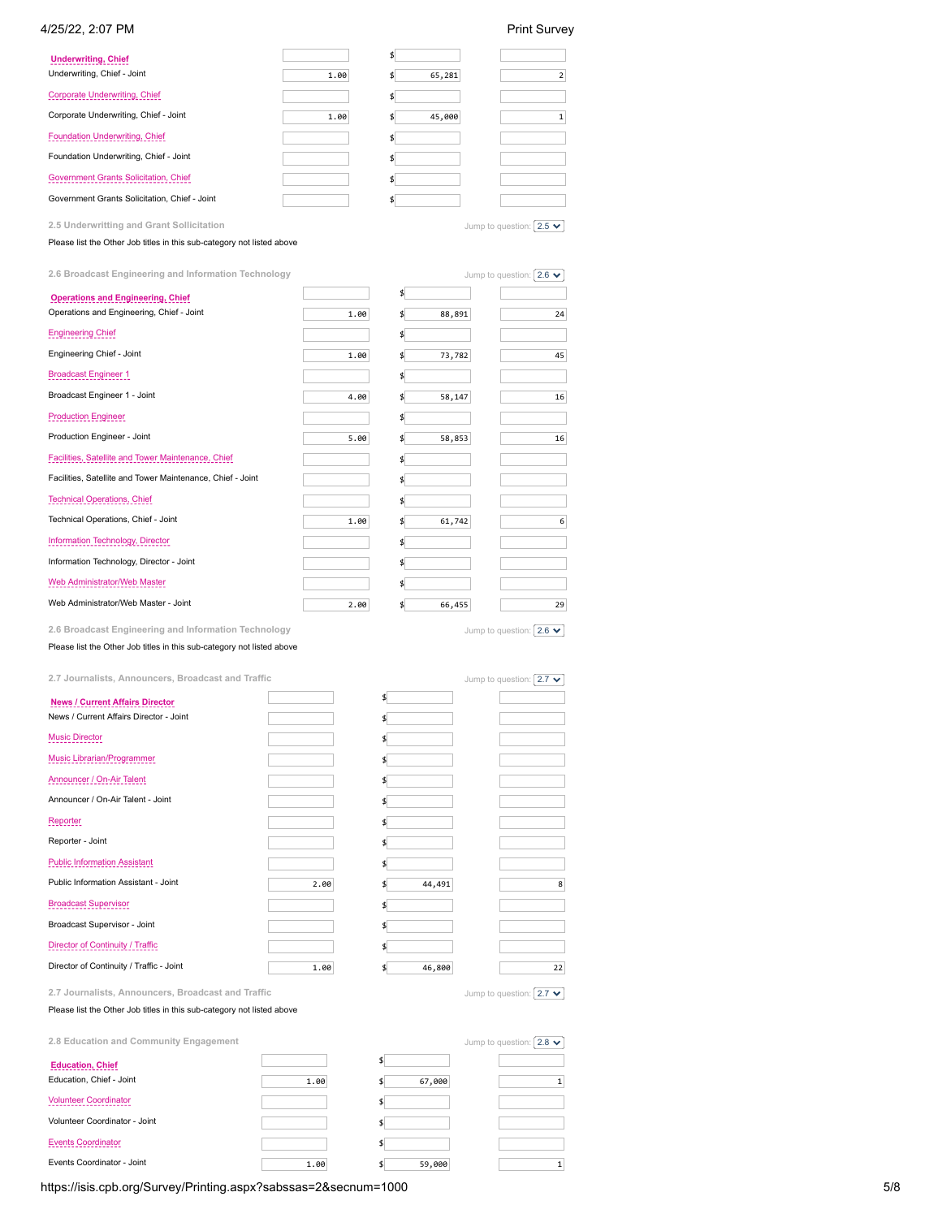# 4/25/22, 2:07 PM Print Survey

| <b>Underwriting, Chief</b><br>Underwriting, Chief - Joint | 1.00 | 65,281 | 2                               |
|-----------------------------------------------------------|------|--------|---------------------------------|
| Corporate Underwriting, Chief                             |      |        |                                 |
| Corporate Underwriting, Chief - Joint                     | 1.00 | 45,000 | 1                               |
| Foundation Underwriting, Chief                            |      |        |                                 |
| Foundation Underwriting, Chief - Joint                    |      | \$     |                                 |
| Government Grants Solicitation, Chief                     |      | \$     |                                 |
| Government Grants Solicitation, Chief - Joint             |      | \$     |                                 |
| 2.5 Underwritting and Grant Sollicitation                 |      |        | Jump to question: $ 2.5 \times$ |

Please list the Other Job titles in this sub-category not listed above

| 2.6 Broadcast Engineering and Information Technology       |      |        | Jump to question: $2.6 \blacktriangleright$ |
|------------------------------------------------------------|------|--------|---------------------------------------------|
| <b>Operations and Engineering, Chief</b>                   |      |        |                                             |
| Operations and Engineering, Chief - Joint                  | 1.00 | 88,891 | 24                                          |
| <b>Engineering Chief</b>                                   |      |        |                                             |
| Engineering Chief - Joint                                  | 1.00 | 73,782 | 45                                          |
| <b>Broadcast Engineer 1</b>                                |      | \$     |                                             |
| Broadcast Engineer 1 - Joint                               | 4.00 | 58,147 | 16                                          |
| <b>Production Engineer</b>                                 |      |        |                                             |
| Production Engineer - Joint                                | 5.00 | 58,853 | 16                                          |
| Facilities, Satellite and Tower Maintenance, Chief         |      |        |                                             |
| Facilities, Satellite and Tower Maintenance, Chief - Joint |      |        |                                             |
| <b>Technical Operations, Chief</b>                         |      |        |                                             |
| Technical Operations, Chief - Joint                        | 1.00 | 61,742 | 6                                           |
| Information Technology, Director                           |      | \$     |                                             |
| Information Technology, Director - Joint                   |      |        |                                             |
| Web Administrator/Web Master                               |      |        |                                             |
| Web Administrator/Web Master - Joint                       | 2.00 | 66,455 | 29                                          |
|                                                            |      |        |                                             |

**2.6 Broadcast Engineering and Information Technology** Please list the Other Job titles in this sub-category not listed above Jump to question:  $\boxed{2.6 \blacktriangleright}$ 

**2.7 Journalists, Announcers, Broadcast and Traffic**

| 2.7 Journalists, Announcers, Broadcast and Traffic |      |                           | Jump to question: $ 2.7 \times $ |
|----------------------------------------------------|------|---------------------------|----------------------------------|
| <b>News / Current Affairs Director</b>             |      | $\boldsymbol{\mathsf{S}}$ |                                  |
| News / Current Affairs Director - Joint            |      |                           |                                  |
| <b>Music Director</b>                              |      | \$                        |                                  |
| Music Librarian/Programmer                         |      |                           |                                  |
| Announcer / On-Air Talent                          |      |                           |                                  |
| Announcer / On-Air Talent - Joint                  |      | \$                        |                                  |
| Reporter                                           |      |                           |                                  |
| Reporter - Joint                                   |      |                           |                                  |
| <b>Public Information Assistant</b>                |      | \$                        |                                  |
| Public Information Assistant - Joint               | 2.00 | 44,491                    | 8                                |
| <b>Broadcast Supervisor</b>                        |      |                           |                                  |
| Broadcast Supervisor - Joint                       |      | \$                        |                                  |
| Director of Continuity / Traffic                   |      |                           |                                  |
| Director of Continuity / Traffic - Joint           | 1.00 | 46,800<br>\$              | 22                               |
| 2.7 Journalists, Announcers, Broadcast and Traffic |      |                           | Jump to question: $ 2.7 \times$  |

Please list the Other Job titles in this sub-category not listed above

| 2.8 Education and Community Engagement |      |        | Jump to question: $2.8 \rightarrow$ |
|----------------------------------------|------|--------|-------------------------------------|
| <b>Education, Chief</b>                |      |        |                                     |
| Education, Chief - Joint               | 1.00 | 67,000 |                                     |
| <b>Volunteer Coordinator</b>           |      |        |                                     |
| Volunteer Coordinator - Joint          |      |        |                                     |
| <b>Events Coordinator</b>              |      |        |                                     |
| Events Coordinator - Joint             | 1.00 | 59,000 |                                     |

https://isis.cpb.org/Survey/Printing.aspx?sabssas=2&secnum=1000 5/8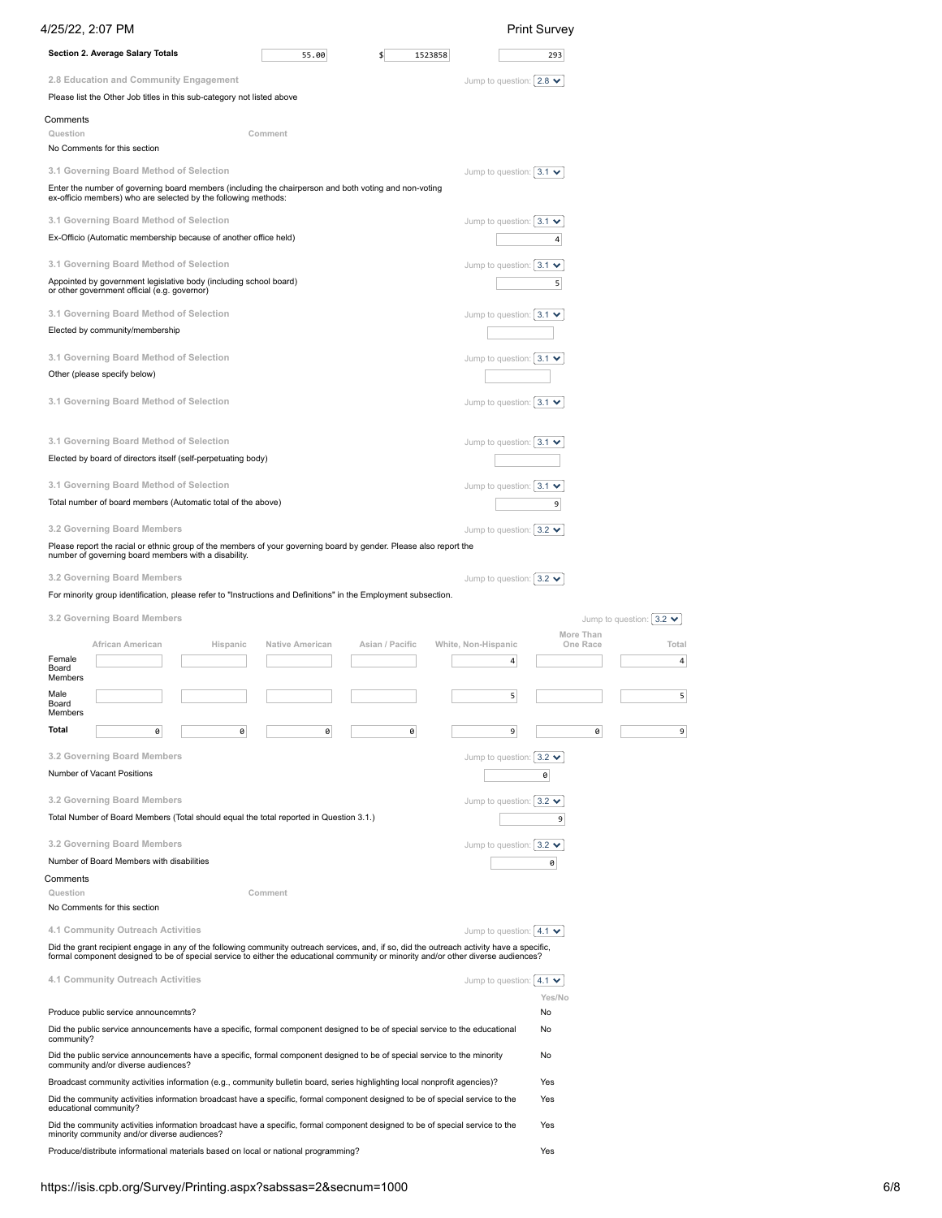| 4/25/22, 2:07 PM                                                                                                                                                                                                                                                                 |                 |                 |                                              | <b>Print Survey</b>   |                                |
|----------------------------------------------------------------------------------------------------------------------------------------------------------------------------------------------------------------------------------------------------------------------------------|-----------------|-----------------|----------------------------------------------|-----------------------|--------------------------------|
| Section 2. Average Salary Totals                                                                                                                                                                                                                                                 | 55.00           |                 | 1523858                                      | 293                   |                                |
| 2.8 Education and Community Engagement                                                                                                                                                                                                                                           |                 |                 | Jump to question: $ 2.8 \blacktriangleright$ |                       |                                |
| Please list the Other Job titles in this sub-category not listed above                                                                                                                                                                                                           |                 |                 |                                              |                       |                                |
| Comments                                                                                                                                                                                                                                                                         |                 |                 |                                              |                       |                                |
| Question<br>No Comments for this section                                                                                                                                                                                                                                         | Comment         |                 |                                              |                       |                                |
| 3.1 Governing Board Method of Selection                                                                                                                                                                                                                                          |                 |                 | Jump to question: $ 3.1 \rangle$             |                       |                                |
| Enter the number of governing board members (including the chairperson and both voting and non-voting<br>ex-officio members) who are selected by the following methods:                                                                                                          |                 |                 |                                              |                       |                                |
| 3.1 Governing Board Method of Selection                                                                                                                                                                                                                                          |                 |                 | Jump to question: $ 3.1 \rangle$             |                       |                                |
| Ex-Officio (Automatic membership because of another office held)                                                                                                                                                                                                                 |                 |                 |                                              | 4                     |                                |
| 3.1 Governing Board Method of Selection                                                                                                                                                                                                                                          |                 |                 | Jump to question: $ 3.1 \rangle$             |                       |                                |
| Appointed by government legislative body (including school board)<br>or other government official (e.g. governor)                                                                                                                                                                |                 |                 |                                              | 5                     |                                |
| 3.1 Governing Board Method of Selection                                                                                                                                                                                                                                          |                 |                 | Jump to question: $ 3.1 \rangle$             |                       |                                |
| Elected by community/membership                                                                                                                                                                                                                                                  |                 |                 |                                              |                       |                                |
| 3.1 Governing Board Method of Selection                                                                                                                                                                                                                                          |                 |                 | Jump to question: $3.1 \cdot$                |                       |                                |
| Other (please specify below)                                                                                                                                                                                                                                                     |                 |                 |                                              |                       |                                |
| 3.1 Governing Board Method of Selection                                                                                                                                                                                                                                          |                 |                 | Jump to question: $ 3.1 \rangle$             |                       |                                |
|                                                                                                                                                                                                                                                                                  |                 |                 |                                              |                       |                                |
| 3.1 Governing Board Method of Selection                                                                                                                                                                                                                                          |                 |                 | Jump to question: $ 3.1 \rangle$             |                       |                                |
| Elected by board of directors itself (self-perpetuating body)                                                                                                                                                                                                                    |                 |                 |                                              |                       |                                |
| 3.1 Governing Board Method of Selection                                                                                                                                                                                                                                          |                 |                 | Jump to question: $ 3.1 \rangle$             |                       |                                |
| Total number of board members (Automatic total of the above)                                                                                                                                                                                                                     |                 |                 |                                              | 9                     |                                |
| 3.2 Governing Board Members                                                                                                                                                                                                                                                      |                 |                 | Jump to question: $ 3.2 \rangle$             |                       |                                |
| Please report the racial or ethnic group of the members of your governing board by gender. Please also report the<br>number of governing board members with a disability.                                                                                                        |                 |                 |                                              |                       |                                |
| 3.2 Governing Board Members                                                                                                                                                                                                                                                      |                 |                 | Jump to question: $ 3.2 \rangle$             |                       |                                |
| For minority group identification, please refer to "Instructions and Definitions" in the Employment subsection.                                                                                                                                                                  |                 |                 |                                              |                       |                                |
| 3.2 Governing Board Members                                                                                                                                                                                                                                                      |                 |                 |                                              |                       | Jump to question: $3.2 \times$ |
| African American<br>Hispanic                                                                                                                                                                                                                                                     | Native American | Asian / Pacific | White, Non-Hispanic                          | More Than<br>One Race | Total                          |
| Female<br>Board                                                                                                                                                                                                                                                                  |                 |                 | 4                                            |                       | 4                              |
| Members                                                                                                                                                                                                                                                                          |                 |                 |                                              |                       |                                |
| Male<br>Board<br>Members                                                                                                                                                                                                                                                         |                 |                 | 5                                            |                       | 5                              |
| Total<br>0<br>0                                                                                                                                                                                                                                                                  | 0               | 0               | 9                                            | 0                     | 9                              |
| 3.2 Governing Board Members                                                                                                                                                                                                                                                      |                 |                 | Jump to question: $3.2 \times$               |                       |                                |
| Number of Vacant Positions                                                                                                                                                                                                                                                       |                 |                 |                                              | 0                     |                                |
| 3.2 Governing Board Members                                                                                                                                                                                                                                                      |                 |                 | Jump to question: $3.2 \times$               |                       |                                |
| Total Number of Board Members (Total should equal the total reported in Question 3.1.)                                                                                                                                                                                           |                 |                 |                                              | 9                     |                                |
| 3.2 Governing Board Members                                                                                                                                                                                                                                                      |                 |                 | Jump to question: $3.2 \times$               |                       |                                |
| Number of Board Members with disabilities                                                                                                                                                                                                                                        |                 |                 |                                              | 0                     |                                |
| Comments<br>Question                                                                                                                                                                                                                                                             | Comment         |                 |                                              |                       |                                |
| No Comments for this section                                                                                                                                                                                                                                                     |                 |                 |                                              |                       |                                |
| 4.1 Community Outreach Activities                                                                                                                                                                                                                                                |                 |                 | Jump to question: $ 4.1 \rangle$             |                       |                                |
| Did the grant recipient engage in any of the following community outreach services, and, if so, did the outreach activity have a specific,<br>formal component designed to be of special service to either the educational community or minority and/or other diverse audiences? |                 |                 |                                              |                       |                                |
| 4.1 Community Outreach Activities                                                                                                                                                                                                                                                |                 |                 | Jump to question: $ 4.1 \rangle$             |                       |                                |
|                                                                                                                                                                                                                                                                                  |                 |                 |                                              | Yes/No                |                                |
| Produce public service announcemnts?                                                                                                                                                                                                                                             |                 |                 |                                              | No                    |                                |
| Did the public service announcements have a specific, formal component designed to be of special service to the educational<br>community?                                                                                                                                        |                 |                 |                                              | No                    |                                |
| Did the public service announcements have a specific, formal component designed to be of special service to the minority<br>community and/or diverse audiences?                                                                                                                  |                 |                 |                                              | No                    |                                |
| Broadcast community activities information (e.g., community bulletin board, series highlighting local nonprofit agencies)?                                                                                                                                                       |                 |                 |                                              | Yes                   |                                |
| Did the community activities information broadcast have a specific, formal component designed to be of special service to the<br>educational community?                                                                                                                          |                 |                 |                                              | Yes                   |                                |
| Did the community activities information broadcast have a specific, formal component designed to be of special service to the<br>minority community and/or diverse audiences?                                                                                                    |                 |                 |                                              | Yes                   |                                |
| Produce/distribute informational materials based on local or national programming?                                                                                                                                                                                               |                 |                 |                                              | Yes                   |                                |
|                                                                                                                                                                                                                                                                                  |                 |                 |                                              |                       |                                |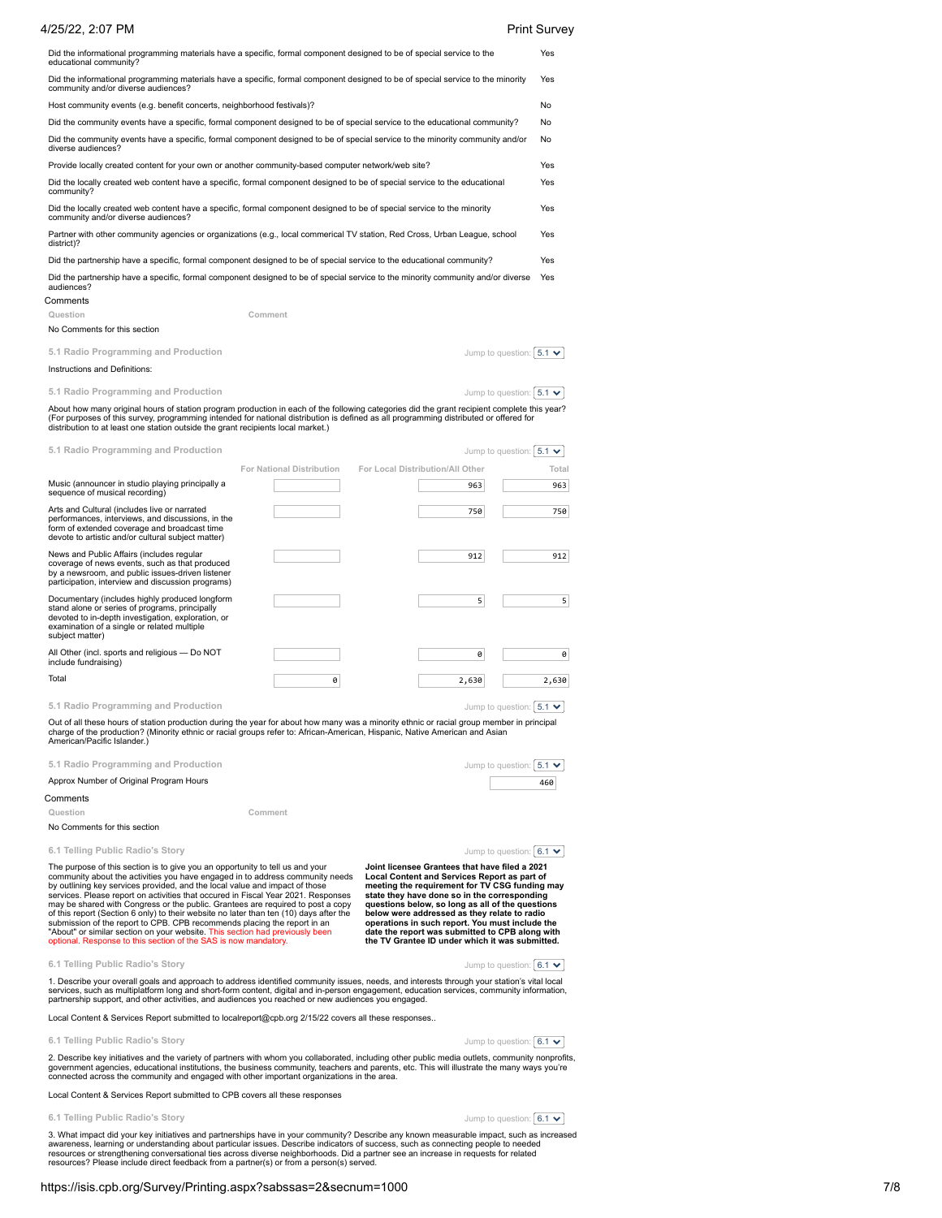| 4/25/22, 2:07 PM                                                                                                                                                                                                                                                                                                                                                         |                           |                                  | <b>Print Survey</b>              |
|--------------------------------------------------------------------------------------------------------------------------------------------------------------------------------------------------------------------------------------------------------------------------------------------------------------------------------------------------------------------------|---------------------------|----------------------------------|----------------------------------|
| Did the informational programming materials have a specific, formal component designed to be of special service to the<br>educational community?                                                                                                                                                                                                                         |                           |                                  | Yes                              |
| Did the informational programming materials have a specific, formal component designed to be of special service to the minority<br>community and/or diverse audiences?                                                                                                                                                                                                   |                           |                                  | Yes                              |
| Host community events (e.g. benefit concerts, neighborhood festivals)?                                                                                                                                                                                                                                                                                                   |                           |                                  | No                               |
| Did the community events have a specific, formal component designed to be of special service to the educational community?                                                                                                                                                                                                                                               |                           |                                  | No                               |
| Did the community events have a specific, formal component designed to be of special service to the minority community and/or<br>diverse audiences?                                                                                                                                                                                                                      |                           |                                  | No                               |
| Provide locally created content for your own or another community-based computer network/web site?                                                                                                                                                                                                                                                                       |                           |                                  | Yes                              |
| Did the locally created web content have a specific, formal component designed to be of special service to the educational<br>community?                                                                                                                                                                                                                                 |                           |                                  | Yes                              |
| Did the locally created web content have a specific, formal component designed to be of special service to the minority<br>community and/or diverse audiences?                                                                                                                                                                                                           |                           |                                  | Yes                              |
| Partner with other community agencies or organizations (e.g., local commerical TV station, Red Cross, Urban League, school<br>district)?                                                                                                                                                                                                                                 |                           |                                  | Yes                              |
| Did the partnership have a specific, formal component designed to be of special service to the educational community?                                                                                                                                                                                                                                                    |                           |                                  | Yes                              |
| Did the partnership have a specific, formal component designed to be of special service to the minority community and/or diverse<br>audiences?                                                                                                                                                                                                                           |                           |                                  | Yes                              |
| Comments                                                                                                                                                                                                                                                                                                                                                                 |                           |                                  |                                  |
| Question                                                                                                                                                                                                                                                                                                                                                                 | Comment                   |                                  |                                  |
| No Comments for this section                                                                                                                                                                                                                                                                                                                                             |                           |                                  |                                  |
| 5.1 Radio Programming and Production                                                                                                                                                                                                                                                                                                                                     |                           |                                  | Jump to question: $ 5.1 \rangle$ |
| Instructions and Definitions:                                                                                                                                                                                                                                                                                                                                            |                           |                                  |                                  |
| 5.1 Radio Programming and Production                                                                                                                                                                                                                                                                                                                                     |                           |                                  | Jump to question: $5.1 \times$   |
| About how many original hours of station program production in each of the following categories did the grant recipient complete this year?<br>(For purposes of this survey, programming intended for national distribution is defined as all programming distributed or offered for<br>distribution to at least one station outside the grant recipients local market.) |                           |                                  |                                  |
| 5.1 Radio Programming and Production                                                                                                                                                                                                                                                                                                                                     |                           |                                  | Jump to question: $ 5.1 \times$  |
|                                                                                                                                                                                                                                                                                                                                                                          | For National Distribution | For Local Distribution/All Other | Total                            |
| Music (announcer in studio playing principally a<br>sequence of musical recording)                                                                                                                                                                                                                                                                                       |                           | 963                              | 963                              |
| Arts and Cultural (includes live or narrated<br>performances, interviews, and discussions, in the<br>form of extended coverage and broadcast time<br>devote to artistic and/or cultural subject matter)                                                                                                                                                                  |                           | 750                              | 750                              |
| News and Public Affairs (includes regular<br>coverage of news events, such as that produced<br>by a newsroom, and public issues-driven listener<br>participation, interview and discussion programs)                                                                                                                                                                     |                           | 912                              | 912                              |
| Documentary (includes highly produced longform<br>stand alone or series of programs, principally<br>devoted to in-depth investigation, exploration, or<br>examination of a single or related multiple<br>subject matter)                                                                                                                                                 |                           | 5                                | 5                                |
| All Other (incl. sports and religious - Do NOT<br>include fundraising)                                                                                                                                                                                                                                                                                                   |                           | 0                                | 0                                |
| Total                                                                                                                                                                                                                                                                                                                                                                    | 0                         | 2,630                            | 2,630                            |
| 5.1 Radio Programming and Production                                                                                                                                                                                                                                                                                                                                     |                           |                                  | Jump to question: $ 5.1 \rangle$ |

Out of all these hours of station production during the year for about how many was a minority ethnic or racial group member in principal<br>charge of the production? (Minority ethnic or racial groups refer to: African-Americ American/Pacific Islander.)

| 5.1 Radio Programming and Production    | Jump to question: $5.1 \cdot$ |
|-----------------------------------------|-------------------------------|
| Approx Number of Original Program Hours | 460                           |
| Comments                                |                               |

**Question Comment**

No Comments for this section

**6.1 Telling Public Radio's Story**

Jump to question:  $\boxed{6.1 \blacktriangledown}$ 

The purpose of this section is to give you an opportunity to tell us and your<br>community about the activities you have engaged in to address community needs<br>by outlining key services provided, and the local value and impact

**Joint licensee Grantees that have filed a 2021 Local Content and Services Report as part of meeting the requirement for TV CSG funding may state they have done so in the corresponding questions below, so long as all of the questions below were addressed as they relate to radio operations in such report. You must include the date the report was submitted to CPB along with the TV Grantee ID under which it was submitted.**

Jump to question:  $6.1 \times$ 

1. Describe your overall goals and approach to address identified community issues, needs, and interests through your station's vital local<br>services, such as multiplatform long and short-form content, digital and in-person

Local Content & Services Report submitted to localreport@cpb.org 2/15/22 covers all these responses..

**6.1 Telling Public Radio's Story**

**6.1 Telling Public Radio's Story**

Jump to question:  $6.1 \times$ 

2. Describe key initiatives and the variety of partners with whom you collaborated, including other public media outlets, community nonprofits,<br>government agencies, educational institutions, the business community, teacher

Local Content & Services Report submitted to CPB covers all these responses

**6.1 Telling Public Radio's Story**

Jump to question:  $\boxed{6.1 \blacktriangledown}$ 

3. What impact did your key initiatives and partnerships have in your community? Describe any known measurable impact, such as increased<br>awareness, learning or understanding about particular issues. Describe indicators of

## https://isis.cpb.org/Survey/Printing.aspx?sabssas=2&secnum=1000 7/8